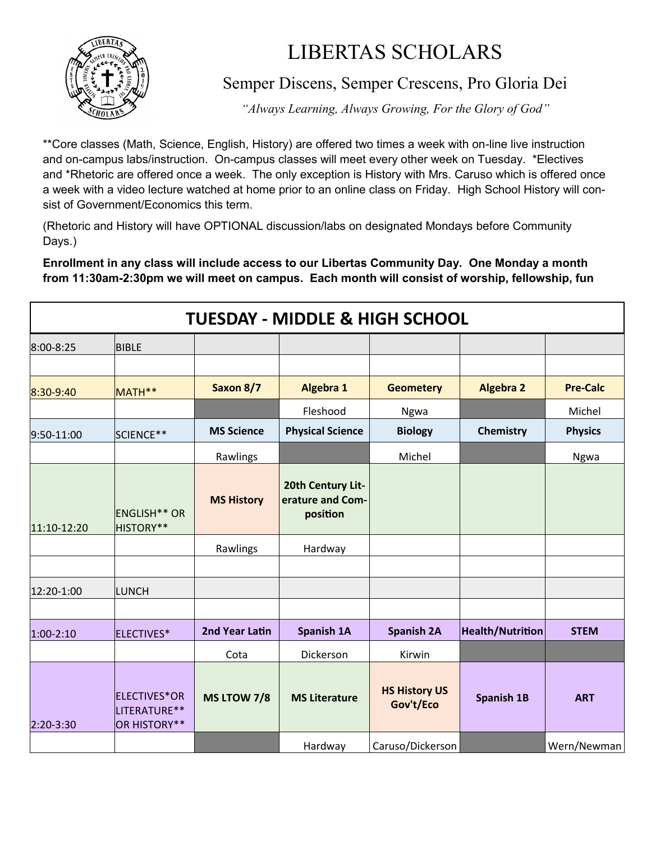

## LIBERTAS SCHOLARS

Semper Discens, Semper Crescens, Pro Gloria Dei

*"Always Learning, Always Growing, For the Glory of God"*

\*\*Core classes (Math, Science, English, History) are offered two times a week with on-line live instruction and on-campus labs/instruction. On-campus classes will meet every other week on Tuesday. \*Electives and \*Rhetoric are offered once a week. The only exception is History with Mrs. Caruso which is offered once a week with a video lecture watched at home prior to an online class on Friday. High School History will consist of Government/Economics this term.

(Rhetoric and History will have OPTIONAL discussion/labs on designated Mondays before Community Days.)

**Enrollment in any class will include access to our Libertas Community Day. One Monday a month from 11:30am-2:30pm we will meet on campus. Each month will consist of worship, fellowship, fun** 

| <b>TUESDAY - MIDDLE &amp; HIGH SCHOOL</b> |                                              |                   |                                                   |                                   |                         |                 |  |  |  |
|-------------------------------------------|----------------------------------------------|-------------------|---------------------------------------------------|-----------------------------------|-------------------------|-----------------|--|--|--|
| 8:00-8:25                                 | <b>BIBLE</b>                                 |                   |                                                   |                                   |                         |                 |  |  |  |
|                                           |                                              |                   |                                                   |                                   |                         |                 |  |  |  |
| 8:30-9:40                                 | MATH**                                       | Saxon 8/7         | Algebra 1                                         | <b>Geometery</b>                  | <b>Algebra 2</b>        | <b>Pre-Calc</b> |  |  |  |
|                                           |                                              |                   | Fleshood                                          | Ngwa                              |                         | Michel          |  |  |  |
| 9:50-11:00                                | SCIENCE**                                    | <b>MS Science</b> | <b>Physical Science</b>                           | <b>Biology</b>                    | Chemistry               | <b>Physics</b>  |  |  |  |
|                                           |                                              | Rawlings          |                                                   | Michel                            |                         | Ngwa            |  |  |  |
| 11:10-12:20                               | <b>ENGLISH** OR</b><br>HISTORY**             | <b>MS History</b> | 20th Century Lit-<br>erature and Com-<br>position |                                   |                         |                 |  |  |  |
|                                           |                                              | Rawlings          | Hardway                                           |                                   |                         |                 |  |  |  |
|                                           |                                              |                   |                                                   |                                   |                         |                 |  |  |  |
| 12:20-1:00                                | <b>LUNCH</b>                                 |                   |                                                   |                                   |                         |                 |  |  |  |
|                                           |                                              |                   |                                                   |                                   |                         |                 |  |  |  |
| $1:00-2:10$                               | ELECTIVES*                                   | 2nd Year Latin    | <b>Spanish 1A</b>                                 | <b>Spanish 2A</b>                 | <b>Health/Nutrition</b> | <b>STEM</b>     |  |  |  |
|                                           |                                              | Cota              | Dickerson                                         | Kirwin                            |                         |                 |  |  |  |
| 2:20-3:30                                 | ELECTIVES*OR<br>LITERATURE**<br>OR HISTORY** | MS LTOW 7/8       | <b>MS Literature</b>                              | <b>HS History US</b><br>Gov't/Eco | <b>Spanish 1B</b>       | <b>ART</b>      |  |  |  |
|                                           |                                              |                   | Hardway                                           | Caruso/Dickerson                  |                         | Wern/Newman     |  |  |  |